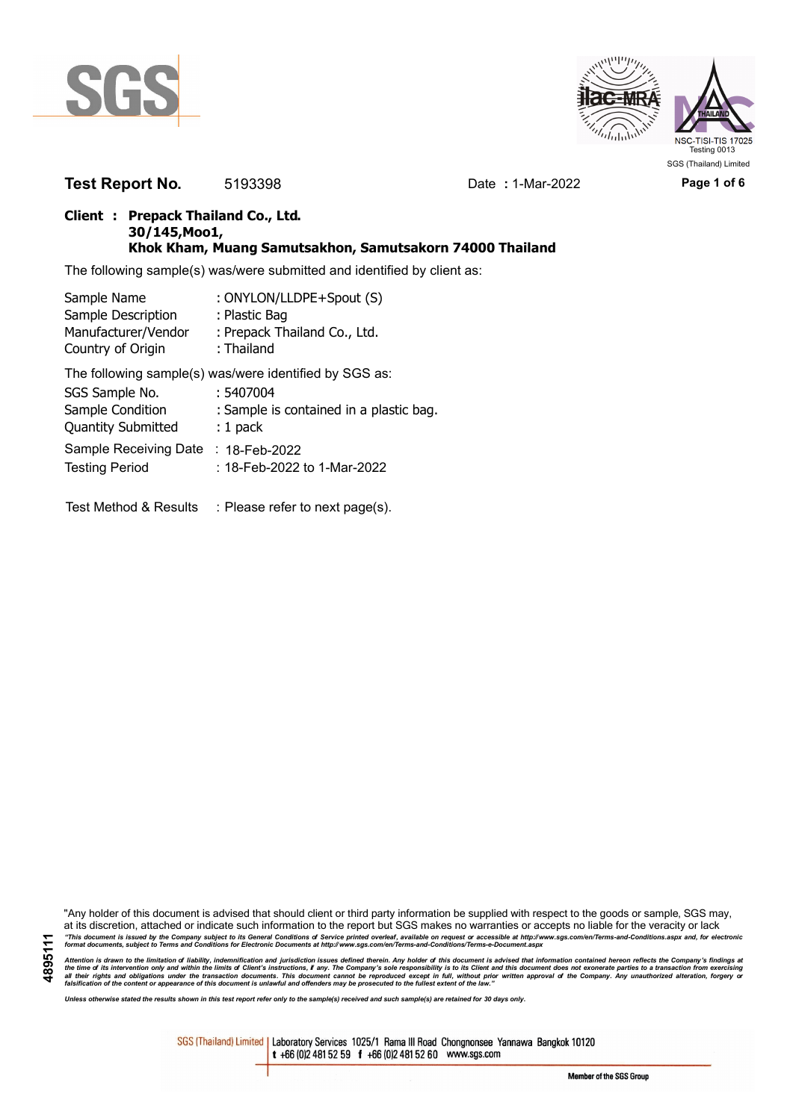



**Test Report No.** 5193398 Date **:** 1-Mar-2022 **Page 1 of 6**

## **Client : Prepack Thailand Co., Ltd. 30/145,Moo1, Khok Kham, Muang Samutsakhon, Samutsakorn 74000 Thailand**

The following sample(s) was/were submitted and identified by client as:

| Sample Name               | : ONYLON/LLDPE+Spout (S)                               |
|---------------------------|--------------------------------------------------------|
| Sample Description        | : Plastic Bag                                          |
| Manufacturer/Vendor       | : Prepack Thailand Co., Ltd.                           |
| Country of Origin         | : Thailand                                             |
|                           | The following sample(s) was/were identified by SGS as: |
| SGS Sample No.            | : 5407004                                              |
| Sample Condition          | : Sample is contained in a plastic bag.                |
| <b>Quantity Submitted</b> | $: 1$ pack                                             |
| Sample Receiving Date     | : 18-Feb-2022                                          |

Testing Period : 18-Feb-2022 to 1-Mar-2022

Test Method & Results : Please refer to next page(s).

"Any holder of this document is advised that should client or third party information be supplied with respect to the goods or sample, SGS may, at its discretion, attached or indicate such information to the report but SGS makes no warranties or accepts no liable for the veracity or lack "This document is issued by the Company subject to its General Conditions of Service printed overleaf, available on request or accessible at http://www.sgs.com/en/Terms-and-Conditions.aspx and, for electronic<br>format docume

Attention is drawn to the limitation of liability, indemnification and jurisdiction issues defined therein. Any holder of this document is advised that information contained hereon reflects the Company's findings at<br>all th

*Unless otherwise stated the results shown in this test report refer only to the sample(s) received and such sample(s) are retained for 30 days only.*

SGS (Thailand) Limited | Laboratory Services 1025/1 Rama III Road Chongnonsee Yannawa Bangkok 10120 t +66 (0)2 481 52 59 f +66 (0)2 481 52 60 www.sgs.com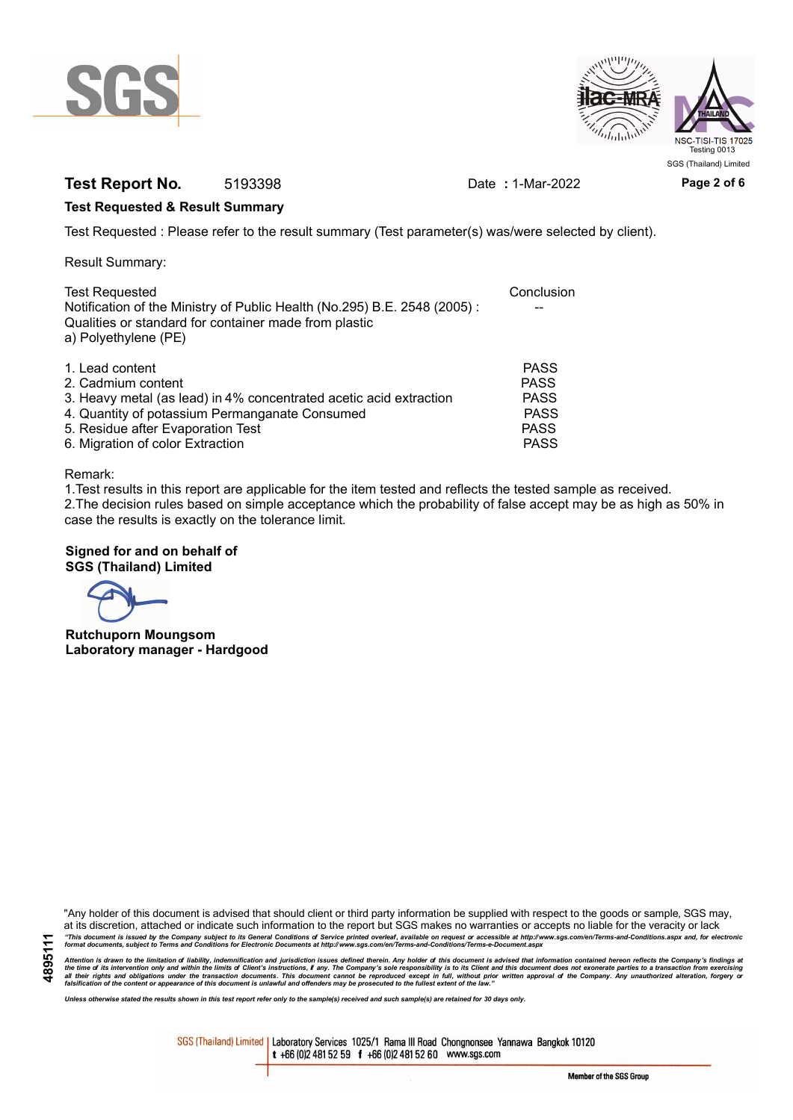



# **Test Report No.** 5193398 Date : 1-Mar-2022 Page 2 of 6

## **Test Requested & Result Summary**

Test Requested : Please refer to the result summary (Test parameter(s) was/were selected by client).

Result Summary:

| <b>Test Requested</b><br>Notification of the Ministry of Public Health (No.295) B.E. 2548 (2005): | Conclusion  |
|---------------------------------------------------------------------------------------------------|-------------|
| Qualities or standard for container made from plastic<br>a) Polyethylene (PE)                     |             |
| 1. Lead content                                                                                   | <b>PASS</b> |
| 2. Cadmium content                                                                                | <b>PASS</b> |
| 3. Heavy metal (as lead) in 4% concentrated acetic acid extraction                                | <b>PASS</b> |
| 4. Quantity of potassium Permanganate Consumed                                                    | <b>PASS</b> |
| 5. Residue after Evaporation Test                                                                 | <b>PASS</b> |
| 6. Migration of color Extraction                                                                  | <b>PASS</b> |

### Remark:

1.Test results in this report are applicable for the item tested and reflects the tested sample as received. 2.The decision rules based on simple acceptance which the probability of false accept may be as high as 50% in case the results is exactly on the tolerance limit.

## **Signed for and on behalf of SGS (Thailand) Limited**

**Rutchuporn Moungsom Laboratory manager - Hardgood**

"Any holder of this document is advised that should client or third party information be supplied with respect to the goods or sample, SGS may, at its discretion, attached or indicate such information to the report but SGS makes no warranties or accepts no liable for the veracity or lack "This document is issued by the Company subject to its General Conditions of Service printed overleaf, available on request or accessible at http://www.sgs.com/en/Terms-and-Conditions.aspx and, for electronic<br>format docume

Attention is drawn to the limitation of liability, indemnification and jurisdiction issues defined therein. Any holder of this document is advised that information contained hereon reflects the Company's findings at<br>all th

*Unless otherwise stated the results shown in this test report refer only to the sample(s) received and such sample(s) are retained for 30 days only.*

SGS (Thailand) Limited | Laboratory Services 1025/1 Rama III Road Chongnonsee Yannawa Bangkok 10120 t +66 (0)2 481 52 59 f +66 (0)2 481 52 60 www.sgs.com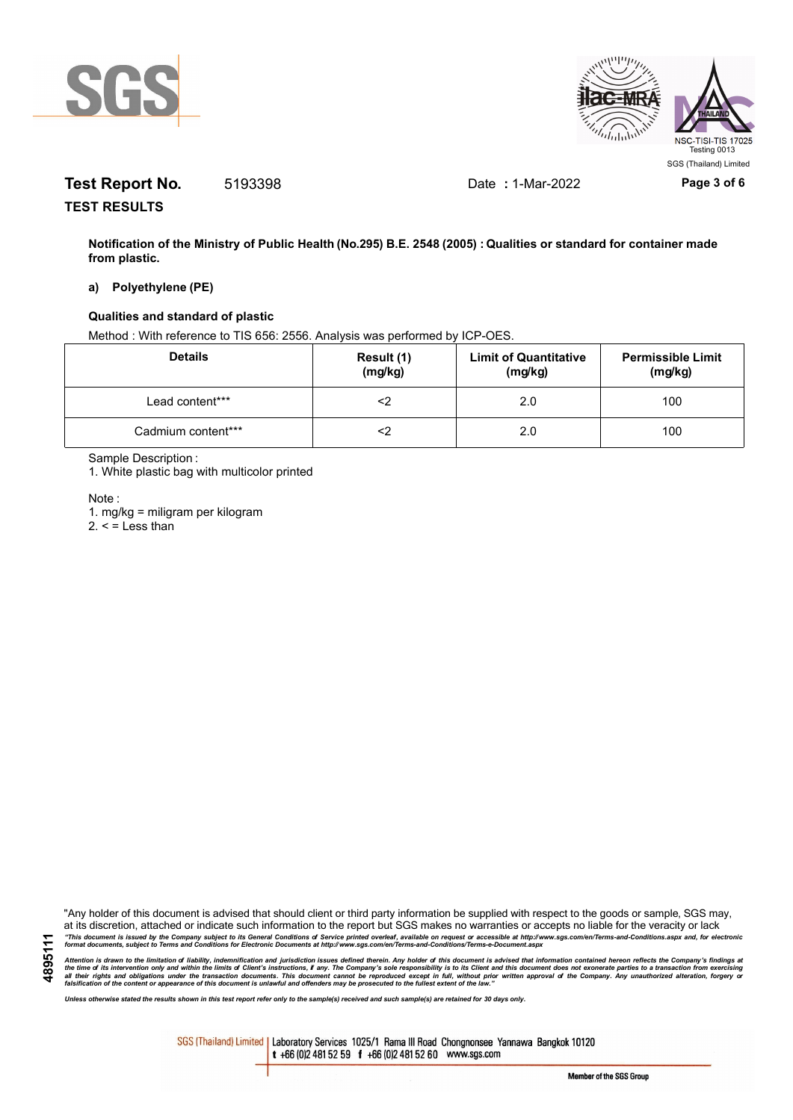



# **Test Report No.** 5193398 Date **:** 1-Mar-2022 **Page 3 of 6**

**TEST RESULTS**

**Notification of the Ministry of Public Health (No.295) B.E. 2548 (2005) : Qualities or standard for container made from plastic.**

### **a) Polyethylene (PE)**

### **Qualities and standard of plastic**

Method : With reference to TIS 656: 2556. Analysis was performed by ICP-OES.

| <b>Details</b>     | Result (1)<br>(mg/kg) | <b>Limit of Quantitative</b><br>(mg/kg) | <b>Permissible Limit</b><br>(mg/kg) |
|--------------------|-----------------------|-----------------------------------------|-------------------------------------|
| Lead content***    |                       | 2.0                                     | 100                                 |
| Cadmium content*** |                       | 2.0                                     | 100                                 |

Sample Description :

1. White plastic bag with multicolor printed

Note :

1. mg/kg = miligram per kilogram

 $2. <$  = Less than

"Any holder of this document is advised that should client or third party information be supplied with respect to the goods or sample, SGS may, at its discretion, attached or indicate such information to the report but SGS makes no warranties or accepts no liable for the veracity or lack "This document is issued by the Company subject to its General Conditions of Service printed overleaf, available on request or accessible at http://www.sgs.com/en/Terms-and-Conditions.aspx and, for electronic<br>format docume

Attention is drawn to the limitation of liability, indemnification and jurisdiction issues defined therein. Any holder of this document is advised that information contained hereon reflects the Company's findings at<br>all th

*Unless otherwise stated the results shown in this test report refer only to the sample(s) received and such sample(s) are retained for 30 days only.*

SGS (Thailand) Limited | Laboratory Services 1025/1 Rama III Road Chongnonsee Yannawa Bangkok 10120 t +66 (0)2 481 52 59 f +66 (0)2 481 52 60 www.sgs.com

Member of the SGS Group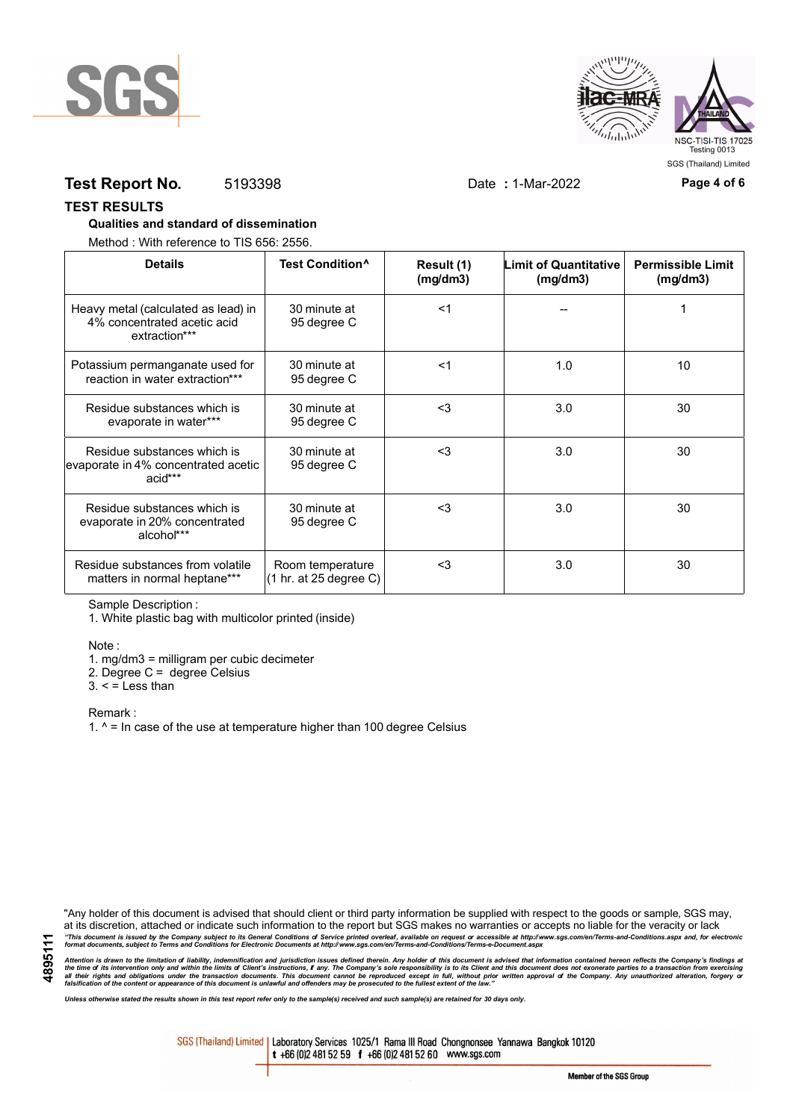



# **Test Report No.** 5193398 Date **:** 1-Mar-2022 **Page 4 of 6**

### **TEST RESULTS**

### **Qualities and standard of dissemination**

Method : With reference to TIS 656: 2556.

| <b>Details</b>                                                                      | Test Condition <sup>^</sup>                                   | Result (1)<br>(mg/dm3) | <b>Limit of Quantitative</b><br>(mg/dm3) | <b>Permissible Limit</b><br>(mg/dm3) |
|-------------------------------------------------------------------------------------|---------------------------------------------------------------|------------------------|------------------------------------------|--------------------------------------|
| Heavy metal (calculated as lead) in<br>4% concentrated acetic acid<br>extraction*** | 30 minute at<br>95 degree C                                   | $<$ 1                  |                                          |                                      |
| Potassium permanganate used for<br>reaction in water extraction***                  | 30 minute at<br>95 degree C                                   | $<$ 1                  | 1.0                                      | 10                                   |
| Residue substances which is<br>evaporate in water***                                | 30 minute at<br>95 degree C                                   | $3$                    | 3.0                                      | 30                                   |
| Residue substances which is<br>evaporate in 4% concentrated acetic<br>acid***       | 30 minute at<br>95 degree C                                   | $3$                    | 3.0                                      | 30                                   |
| Residue substances which is<br>evaporate in 20% concentrated<br>alcohol***          | 30 minute at<br>95 degree C                                   | $3$                    | 3.0                                      | 30                                   |
| Residue substances from volatile<br>matters in normal heptane***                    | Room temperature<br>$(1 \text{ hr. at } 25 \text{ degree C})$ | $3$                    | 3.0                                      | 30                                   |

Sample Description :

1. White plastic bag with multicolor printed (inside)

Note :

1. mg/dm3 = milligram per cubic decimeter

2. Degree C = degree Celsius

 $3. <$  = Less than

Remark :

1.  $^{\circ}$  = In case of the use at temperature higher than 100 degree Celsius

"Any holder of this document is advised that should client or third party information be supplied with respect to the goods or sample, SGS may, at its discretion, attached or indicate such information to the report but SGS makes no warranties or accepts no liable for the veracity or lack "This document is issued by the Company subject to its General Conditions of Service printed overleaf, available on request or accessible at http://www.sgs.com/en/Terms-and-Conditions.aspx and, for electronic<br>format docume

Attention is drawn to the limitation of liability, indemnification and jurisdiction issues defined therein. Any holder of this document is advised that information contained hereon reflects the Company's findings at<br>all th

*Unless otherwise stated the results shown in this test report refer only to the sample(s) received and such sample(s) are retained for 30 days only.*

SGS (Thailand) Limited | Laboratory Services 1025/1 Rama III Road Chongnonsee Yannawa Bangkok 10120 t +66 (0)2 481 52 59 f +66 (0)2 481 52 60 www.sgs.com

Member of the SGS Group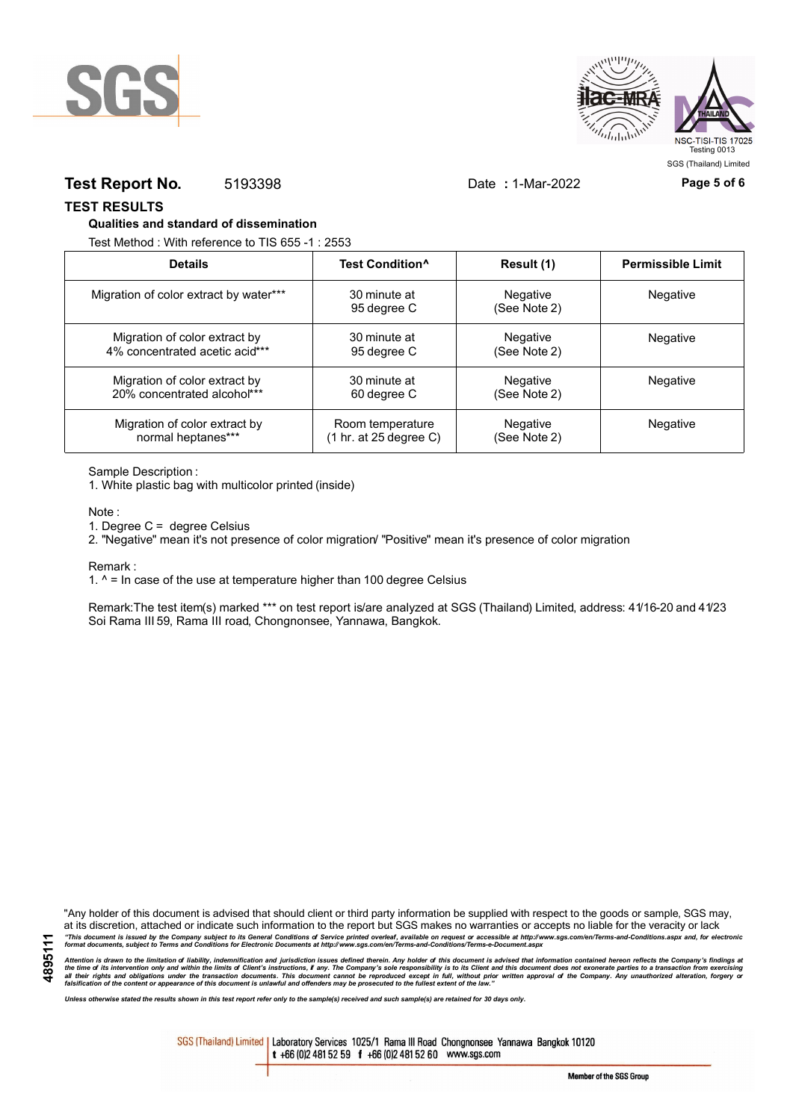



# **Test Report No.** 5193398 Date **:** 1-Mar-2022 **Page 5 of 6**

**TEST RESULTS**

### **Qualities and standard of dissemination**

Test Method : With reference to TIS 655 -1 : 2553

| <b>Details</b>                         | Test Condition <sup>^</sup>               | Result (1)               | <b>Permissible Limit</b> |
|----------------------------------------|-------------------------------------------|--------------------------|--------------------------|
| Migration of color extract by water*** | 30 minute at<br>95 degree C               | Negative<br>(See Note 2) | Negative                 |
| Migration of color extract by          | 30 minute at                              | Negative                 | Negative                 |
| 4% concentrated acetic acid***         | 95 degree C                               | (See Note 2)             |                          |
| Migration of color extract by          | 30 minute at                              | Negative                 | <b>Negative</b>          |
| 20% concentrated alcohol***            | 60 degree C                               | (See Note 2)             |                          |
| Migration of color extract by          | Room temperature                          | Negative                 | <b>Negative</b>          |
| normal heptanes***                     | $(1 \text{ hr. at } 25 \text{ degree C})$ | (See Note 2)             |                          |

Sample Description :

1. White plastic bag with multicolor printed (inside)

Note :

1. Degree C = degree Celsius

2. "Negative" mean it's not presence of color migration/ "Positive" mean it's presence of color migration

Remark :

1.  $^{\circ}$  = In case of the use at temperature higher than 100 degree Celsius

Remark:The test item(s) marked \*\*\* on test report is/are analyzed at SGS (Thailand) Limited, address: 41/16-20 and 41/23 Soi Rama III 59, Rama III road, Chongnonsee, Yannawa, Bangkok.

**4895111**

"Any holder of this document is advised that should client or third party information be supplied with respect to the goods or sample, SGS may, at its discretion, attached or indicate such information to the report but SGS makes no warranties or accepts no liable for the veracity or lack "This document is issued by the Company subject to its General Conditions of Service printed overleaf, available on request or accessible at http://www.sgs.com/en/Terms-and-Conditions.aspx and, for electronic<br>format docume

Attention is drawn to the limitation of liability, indemnification and jurisdiction issues defined therein. Any holder of this document is advised that information contained hereon reflects the Company's findings at<br>all th

*Unless otherwise stated the results shown in this test report refer only to the sample(s) received and such sample(s) are retained for 30 days only.*

SGS (Thailand) Limited | Laboratory Services 1025/1 Rama III Road Chongnonsee Yannawa Bangkok 10120 t +66 (0)2 481 52 59 f +66 (0)2 481 52 60 www.sgs.com